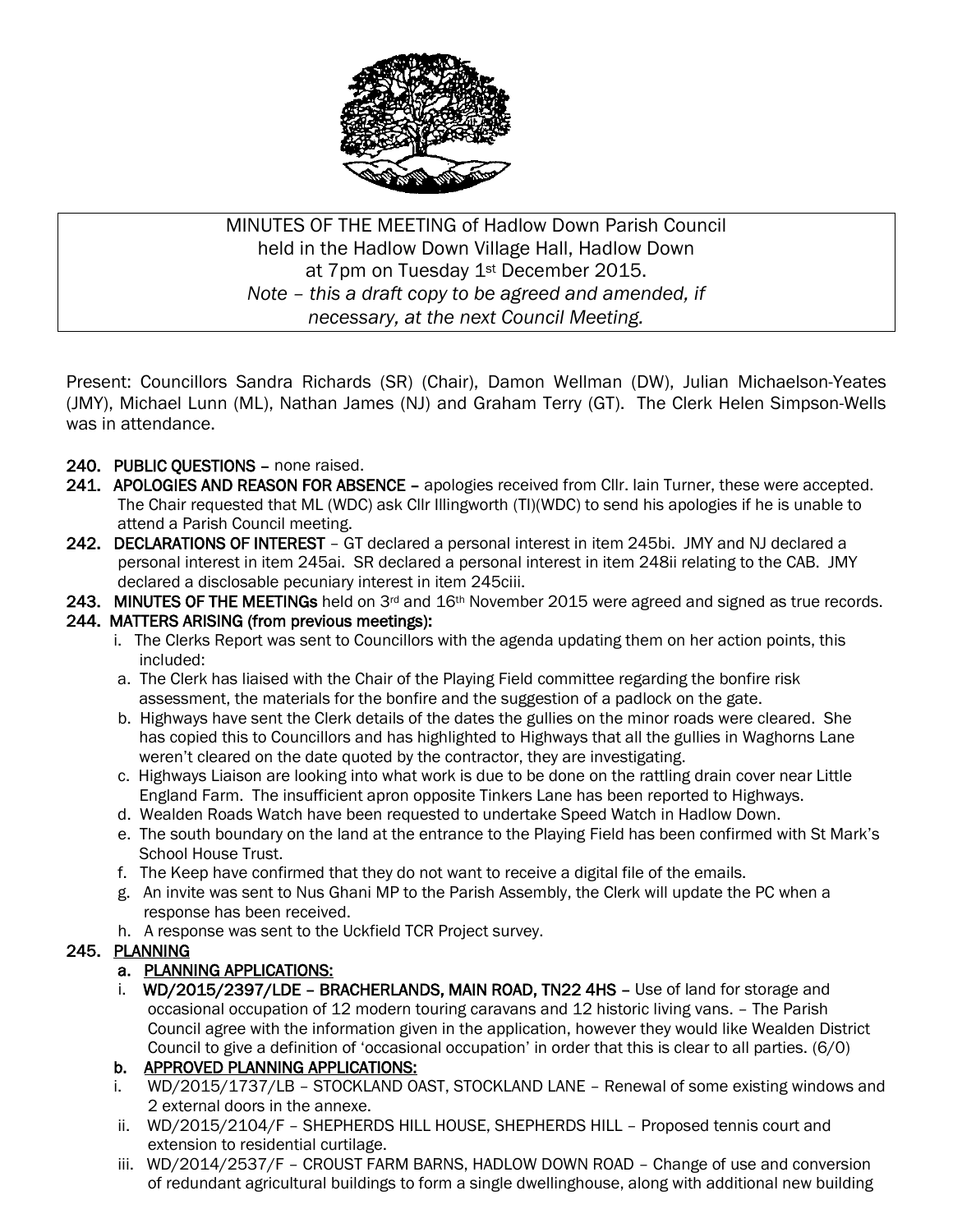

MINUTES OF THE MEETING of Hadlow Down Parish Council held in the Hadlow Down Village Hall, Hadlow Down at 7pm on Tuesday 1<sup>st</sup> December 2015. *Note – this a draft copy to be agreed and amended, if necessary, at the next Council Meeting.*

Present: Councillors Sandra Richards (SR) (Chair), Damon Wellman (DW), Julian Michaelson-Yeates (JMY), Michael Lunn (ML), Nathan James (NJ) and Graham Terry (GT). The Clerk Helen Simpson-Wells was in attendance.

- 240. PUBLIC QUESTIONS none raised.
- 241. APOLOGIES AND REASON FOR ABSENCE apologies received from Cllr. Iain Turner, these were accepted. The Chair requested that ML (WDC) ask Cllr Illingworth (TI)(WDC) to send his apologies if he is unable to attend a Parish Council meeting.
- 242. DECLARATIONS OF INTEREST GT declared a personal interest in item 245bi. JMY and NJ declared a personal interest in item 245ai. SR declared a personal interest in item 248ii relating to the CAB. JMY declared a disclosable pecuniary interest in item 245ciii.
- 243. MINUTES OF THE MEETINGs held on  $3<sup>rd</sup>$  and  $16<sup>th</sup>$  November 2015 were agreed and signed as true records.

### 244. MATTERS ARISING (from previous meetings):

- i. The Clerks Report was sent to Councillors with the agenda updating them on her action points, this included:
- a. The Clerk has liaised with the Chair of the Playing Field committee regarding the bonfire risk assessment, the materials for the bonfire and the suggestion of a padlock on the gate.
- b. Highways have sent the Clerk details of the dates the gullies on the minor roads were cleared. She has copied this to Councillors and has highlighted to Highways that all the gullies in Waghorns Lane weren't cleared on the date quoted by the contractor, they are investigating.
- c. Highways Liaison are looking into what work is due to be done on the rattling drain cover near Little England Farm. The insufficient apron opposite Tinkers Lane has been reported to Highways.
- d. Wealden Roads Watch have been requested to undertake Speed Watch in Hadlow Down.
- e. The south boundary on the land at the entrance to the Playing Field has been confirmed with St Mark's School House Trust.
- f. The Keep have confirmed that they do not want to receive a digital file of the emails.
- g. An invite was sent to Nus Ghani MP to the Parish Assembly, the Clerk will update the PC when a response has been received.
- h. A response was sent to the Uckfield TCR Project survey.

## 245. PLANNING

## a. PLANNING APPLICATIONS:

 i. WD/2015/2397/LDE – BRACHERLANDS, MAIN ROAD, TN22 4HS – Use of land for storage and occasional occupation of 12 modern touring caravans and 12 historic living vans. – The Parish Council agree with the information given in the application, however they would like Wealden District Council to give a definition of 'occasional occupation' in order that this is clear to all parties. (6/0)

### b. APPROVED PLANNING APPLICATIONS:

- i. WD/2015/1737/LB STOCKLAND OAST, STOCKLAND LANE Renewal of some existing windows and 2 external doors in the annexe.
- ii. WD/2015/2104/F SHEPHERDS HILL HOUSE, SHEPHERDS HILL Proposed tennis court and extension to residential curtilage.
- iii. WD/2014/2537/F CROUST FARM BARNS, HADLOW DOWN ROAD Change of use and conversion of redundant agricultural buildings to form a single dwellinghouse, along with additional new building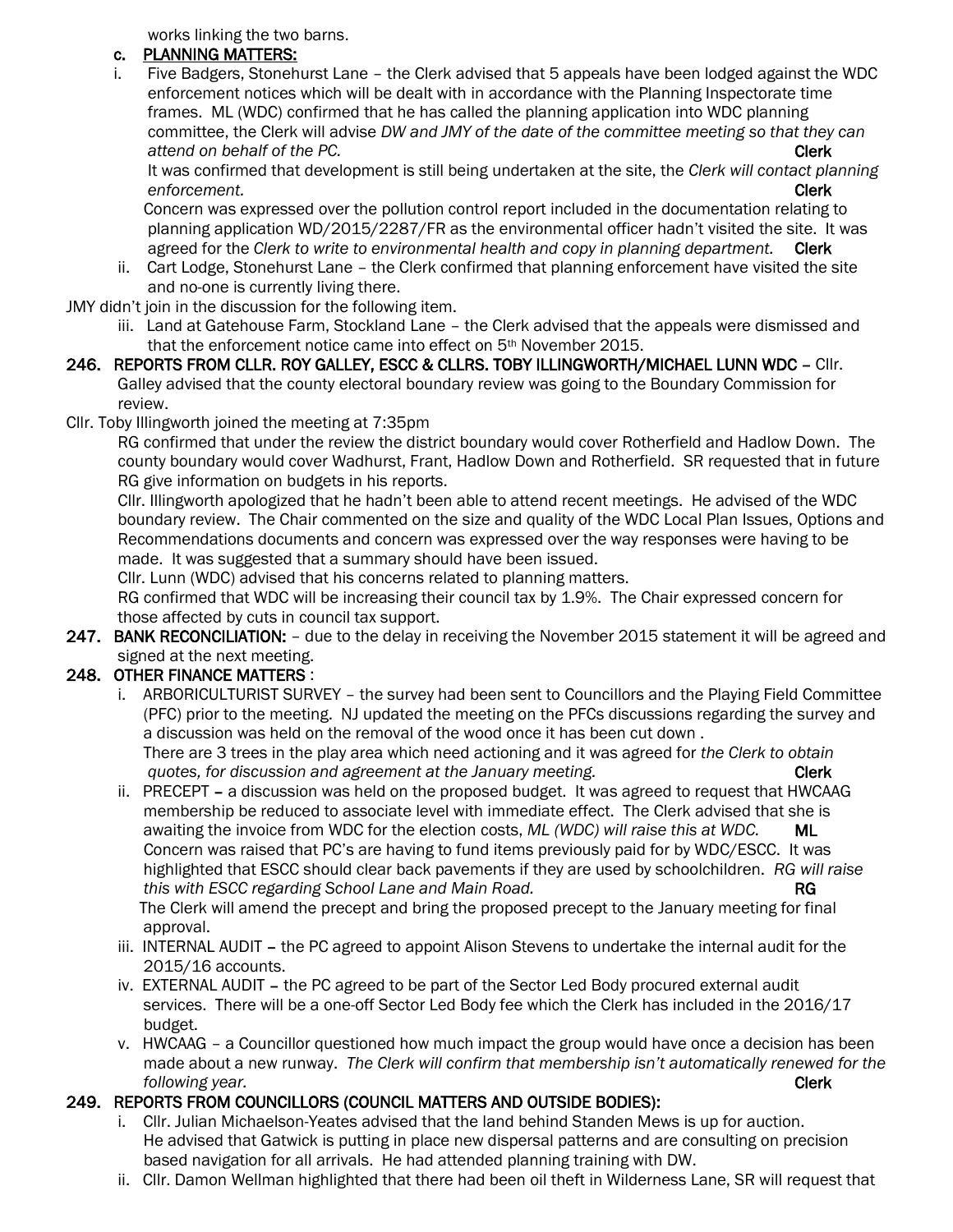works linking the two barns.

# c. PLANNING MATTERS:

 i. Five Badgers, Stonehurst Lane – the Clerk advised that 5 appeals have been lodged against the WDC enforcement notices which will be dealt with in accordance with the Planning Inspectorate time frames. ML (WDC) confirmed that he has called the planning application into WDC planning committee, the Clerk will advise *DW and JMY of the date of the committee meeting so that they can* **attend on behalf of the PC. Clerk** 

 It was confirmed that development is still being undertaken at the site, the *Clerk will contact planning enforcement.* **Clerk** 

 Concern was expressed over the pollution control report included in the documentation relating to planning application WD/2015/2287/FR as the environmental officer hadn't visited the site. It was agreed for the *Clerk to write to environmental health and copy in planning department.* Clerk

 ii. Cart Lodge, Stonehurst Lane – the Clerk confirmed that planning enforcement have visited the site and no-one is currently living there.

JMY didn't join in the discussion for the following item.

- iii. Land at Gatehouse Farm, Stockland Lane the Clerk advised that the appeals were dismissed and that the enforcement notice came into effect on 5<sup>th</sup> November 2015.
- 246. REPORTS FROM CLLR. ROY GALLEY, ESCC & CLLRS. TOBY ILLINGWORTH/MICHAEL LUNN WDC Cllr. Galley advised that the county electoral boundary review was going to the Boundary Commission for review.
- Cllr. Toby Illingworth joined the meeting at 7:35pm

 RG confirmed that under the review the district boundary would cover Rotherfield and Hadlow Down. The county boundary would cover Wadhurst, Frant, Hadlow Down and Rotherfield. SR requested that in future RG give information on budgets in his reports.

 Cllr. Illingworth apologized that he hadn't been able to attend recent meetings. He advised of the WDC boundary review. The Chair commented on the size and quality of the WDC Local Plan Issues, Options and Recommendations documents and concern was expressed over the way responses were having to be made. It was suggested that a summary should have been issued.

Cllr. Lunn (WDC) advised that his concerns related to planning matters.

 RG confirmed that WDC will be increasing their council tax by 1.9%. The Chair expressed concern for those affected by cuts in council tax support.

247. BANK RECONCILIATION: - due to the delay in receiving the November 2015 statement it will be agreed and signed at the next meeting.

# 248. OTHER FINANCE MATTERS :

- i. ARBORICULTURIST SURVEY the survey had been sent to Councillors and the Playing Field Committee (PFC) prior to the meeting. NJ updated the meeting on the PFCs discussions regarding the survey and a discussion was held on the removal of the wood once it has been cut down . There are 3 trees in the play area which need actioning and it was agreed for *the Clerk to obtain auotes, for discussion and agreement at the January meeting.* The same of the Clerk
- ii. PRECEPT a discussion was held on the proposed budget. It was agreed to request that HWCAAG membership be reduced to associate level with immediate effect. The Clerk advised that she is awaiting the invoice from WDC for the election costs, *ML (WDC) will raise this at WDC.* ML Concern was raised that PC's are having to fund items previously paid for by WDC/ESCC. It was highlighted that ESCC should clear back pavements if they are used by schoolchildren. *RG will raise this with ESCC regarding School Lane and Main Road.* This with ESCC regarding School Lane and Main Road.

 The Clerk will amend the precept and bring the proposed precept to the January meeting for final approval.

- iii. INTERNAL AUDIT the PC agreed to appoint Alison Stevens to undertake the internal audit for the 2015/16 accounts.
- iv. EXTERNAL AUDIT the PC agreed to be part of the Sector Led Body procured external audit services. There will be a one-off Sector Led Body fee which the Clerk has included in the 2016/17 budget.
- v. HWCAAG a Councillor questioned how much impact the group would have once a decision has been made about a new runway. *The Clerk will confirm that membership isn't automatically renewed for the following year.* Clerk

# 249. REPORTS FROM COUNCILLORS (COUNCIL MATTERS AND OUTSIDE BODIES):

- i. Cllr. Julian Michaelson-Yeates advised that the land behind Standen Mews is up for auction. He advised that Gatwick is putting in place new dispersal patterns and are consulting on precision based navigation for all arrivals. He had attended planning training with DW.
- ii. Cllr. Damon Wellman highlighted that there had been oil theft in Wilderness Lane, SR will request that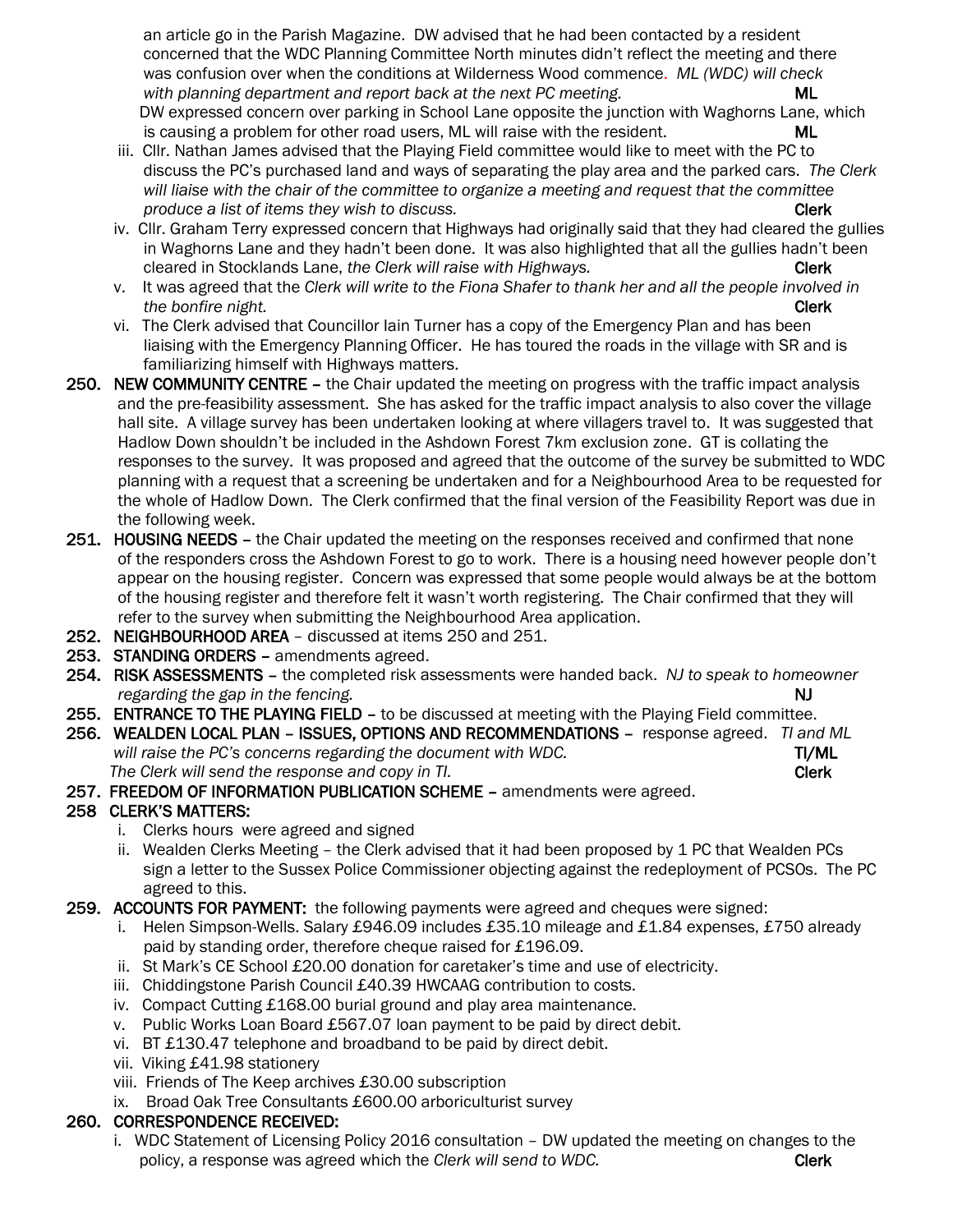an article go in the Parish Magazine. DW advised that he had been contacted by a resident concerned that the WDC Planning Committee North minutes didn't reflect the meeting and there was confusion over when the conditions at Wilderness Wood commence. *ML (WDC) will check with planning department and report back at the next PC meeting.* ML DW expressed concern over parking in School Lane opposite the junction with Waghorns Lane, which is causing a problem for other road users, ML will raise with the resident. ML

- iii. Cllr. Nathan James advised that the Playing Field committee would like to meet with the PC to discuss the PC's purchased land and ways of separating the play area and the parked cars. *The Clerk will liaise with the chair of the committee to organize a meeting and request that the committee produce a list of items they wish to discuss.* The same of the same of the clerk clerk
- iv. Cllr. Graham Terry expressed concern that Highways had originally said that they had cleared the gullies in Waghorns Lane and they hadn't been done. It was also highlighted that all the gullies hadn't been cleared in Stocklands Lane, *the Clerk will raise with Highways.* Clerk Clerk
- v. It was agreed that the *Clerk will write to the Fiona Shafer to thank her and all the people involved in the bonfire night.* Clerk
- vi. The Clerk advised that Councillor Iain Turner has a copy of the Emergency Plan and has been liaising with the Emergency Planning Officer. He has toured the roads in the village with SR and is familiarizing himself with Highways matters.
- 250. NEW COMMUNITY CENTRE the Chair updated the meeting on progress with the traffic impact analysis and the pre-feasibility assessment. She has asked for the traffic impact analysis to also cover the village hall site. A village survey has been undertaken looking at where villagers travel to. It was suggested that Hadlow Down shouldn't be included in the Ashdown Forest 7km exclusion zone. GT is collating the responses to the survey. It was proposed and agreed that the outcome of the survey be submitted to WDC planning with a request that a screening be undertaken and for a Neighbourhood Area to be requested for the whole of Hadlow Down. The Clerk confirmed that the final version of the Feasibility Report was due in the following week.
- 251. HOUSING NEEDS the Chair updated the meeting on the responses received and confirmed that none of the responders cross the Ashdown Forest to go to work. There is a housing need however people don't appear on the housing register. Concern was expressed that some people would always be at the bottom of the housing register and therefore felt it wasn't worth registering. The Chair confirmed that they will refer to the survey when submitting the Neighbourhood Area application.
- 252. NEIGHBOURHOOD AREA discussed at items 250 and 251.
- 253. STANDING ORDERS amendments agreed.
- 254. RISK ASSESSMENTS the completed risk assessments were handed back. *NJ to speak to homeowner regarding the gap in the fencing.* N<sub>J</sub>
- 255. ENTRANCE TO THE PLAYING FIELD to be discussed at meeting with the Playing Field committee.
- 256. WEALDEN LOCAL PLAN ISSUES, OPTIONS AND RECOMMENDATIONS response agreed. *TI and ML will raise the PC's concerns regarding the document with WDC.* THE TIME TIME The Clerk will send the response and copy in Tl. The Clerk sensual property of the Clerk sensual property of the Clerk
- 257. FREEDOM OF INFORMATION PUBLICATION SCHEME amendments were agreed.

## 258 CLERK'S MATTERS:

- i. Clerks hours were agreed and signed
- ii. Wealden Clerks Meeting the Clerk advised that it had been proposed by 1 PC that Wealden PCs sign a letter to the Sussex Police Commissioner objecting against the redeployment of PCSOs. The PC agreed to this.
- 259. ACCOUNTS FOR PAYMENT: the following payments were agreed and cheques were signed:
	- i. Helen Simpson-Wells. Salary £946.09 includes £35.10 mileage and £1.84 expenses, £750 already paid by standing order, therefore cheque raised for £196.09.
	- ii. St Mark's CE School £20.00 donation for caretaker's time and use of electricity.
	- iii. Chiddingstone Parish Council £40.39 HWCAAG contribution to costs.
	- iv. Compact Cutting £168.00 burial ground and play area maintenance.
	- v. Public Works Loan Board £567.07 loan payment to be paid by direct debit.
	- vi. BT £130.47 telephone and broadband to be paid by direct debit.
	- vii. Viking £41.98 stationery
	- viii. Friends of The Keep archives £30.00 subscription
	- ix. Broad Oak Tree Consultants £600.00 arboriculturist survey

### 260. CORRESPONDENCE RECEIVED:

 i. WDC Statement of Licensing Policy 2016 consultation – DW updated the meeting on changes to the policy, a response was agreed which the *Clerk will send to WDC*. Clerk